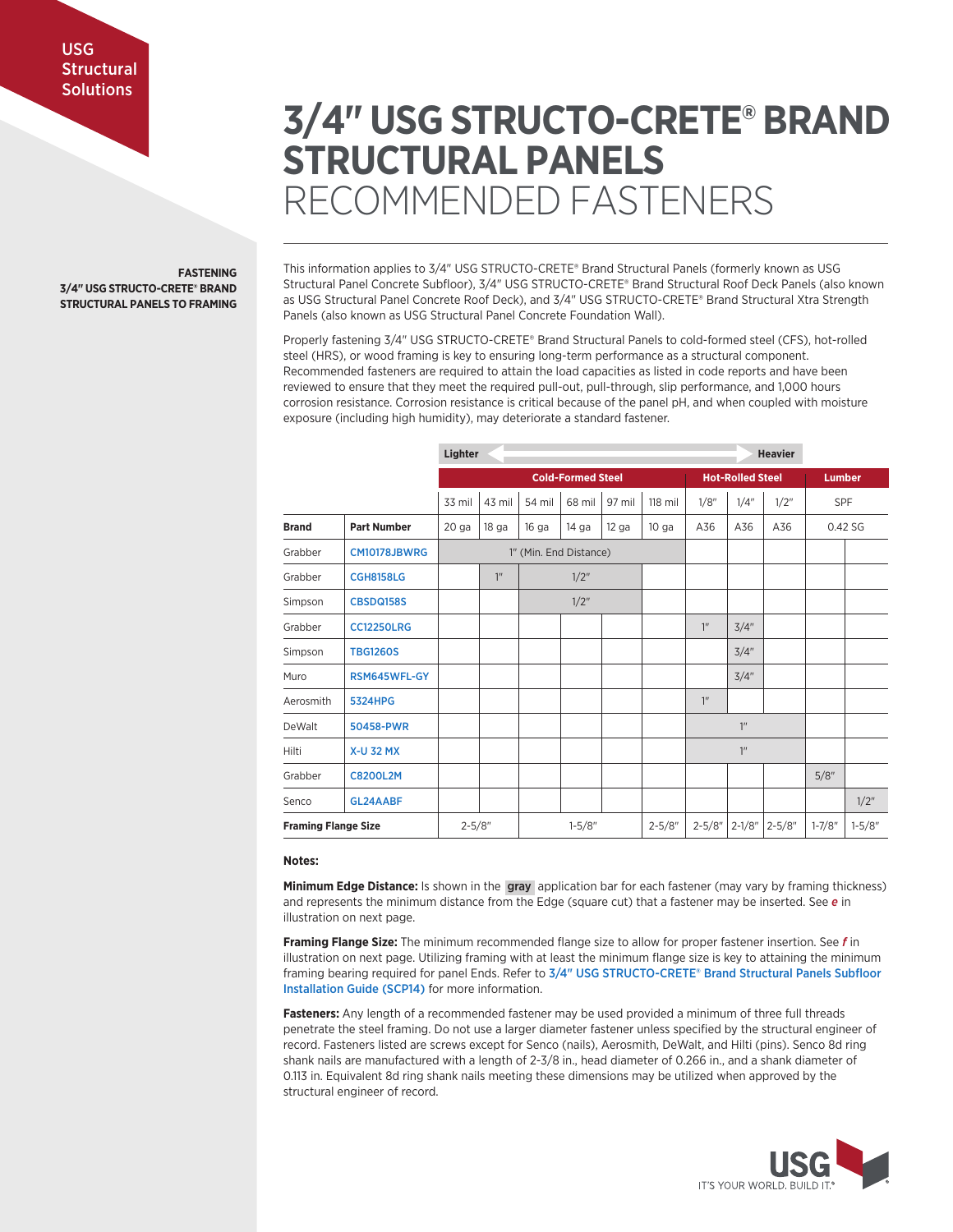# **3/4" USG STRUCTO-CRETE® BRAND STRUCTURAL PANELS** RECOMMENDED FASTENERS

**FASTENING 3/4" USG STRUCTO-CRETE® BRAND STRUCTURAL PANELS TO FRAMING** This information applies to 3/4" USG STRUCTO-CRETE® Brand Structural Panels (formerly known as USG Structural Panel Concrete Subfloor), 3/4" USG STRUCTO-CRETE® Brand Structural Roof Deck Panels (also known as USG Structural Panel Concrete Roof Deck), and 3/4" USG STRUCTO-CRETE® Brand Structural Xtra Strength Panels (also known as USG Structural Panel Concrete Foundation Wall).

Properly fastening 3/4" USG STRUCTO-CRETE® Brand Structural Panels to cold-formed steel (CFS), hot-rolled steel (HRS), or wood framing is key to ensuring long-term performance as a structural component. Recommended fasteners are required to attain the load capacities as listed in code reports and have been reviewed to ensure that they meet the required pull-out, pull-through, slip performance, and 1,000 hours corrosion resistance. Corrosion resistance is critical because of the panel pH, and when coupled with moisture exposure (including high humidity), may deteriorate a standard fastener.

|                            | Lighter            |                          |                  |            |         | <b>Heavier</b>          |                  |                 |               |            |            |         |
|----------------------------|--------------------|--------------------------|------------------|------------|---------|-------------------------|------------------|-----------------|---------------|------------|------------|---------|
|                            |                    | <b>Cold-Formed Steel</b> |                  |            |         | <b>Hot-Rolled Steel</b> |                  |                 | <b>Lumber</b> |            |            |         |
|                            |                    | 33 mil                   | 43 mil           | 54 mil     | 68 mil  | 97 mil                  | 118 mil          | 1/8"            | 1/4"          | 1/2"       | SPF        |         |
| <b>Brand</b>               | <b>Part Number</b> | 20 <sub>ga</sub>         | 18 <sub>ga</sub> | 16 ga      | 14 ga   | $12$ ga                 | 10 <sub>ga</sub> | A36             | A36           | A36        |            | 0.42 SG |
| Grabber                    | CM10178JBWRG       | 1" (Min. End Distance)   |                  |            |         |                         |                  |                 |               |            |            |         |
| Grabber                    | <b>CGH8158LG</b>   |                          | 1 <sup>n</sup>   |            | $1/2$ " |                         |                  |                 |               |            |            |         |
| Simpson                    | <b>CBSDQ158S</b>   |                          |                  | 1/2"       |         |                         |                  |                 |               |            |            |         |
| Grabber                    | <b>CC12250LRG</b>  |                          |                  |            |         |                         |                  | 1 <sup>n</sup>  | 3/4"          |            |            |         |
| Simpson                    | <b>TBG1260S</b>    |                          |                  |            |         |                         |                  |                 | 3/4"          |            |            |         |
| Muro                       | RSM645WFL-GY       |                          |                  |            |         |                         |                  |                 | 3/4"          |            |            |         |
| Aerosmith                  | <b>5324HPG</b>     |                          |                  |            |         |                         |                  | 1 <sup>''</sup> |               |            |            |         |
| DeWalt                     | 50458-PWR          |                          |                  |            |         |                         |                  | 1 <sup>n</sup>  |               |            |            |         |
| Hilti                      | <b>X-U 32 MX</b>   |                          |                  |            |         |                         | 1 <sup>n</sup>   |                 |               |            |            |         |
| Grabber                    | <b>C8200L2M</b>    |                          |                  |            |         |                         |                  |                 |               |            | 5/8"       |         |
| Senco                      | GL24AABF           |                          |                  |            |         |                         |                  |                 |               |            |            | 1/2"    |
| <b>Framing Flange Size</b> |                    | $2 - 5/8"$               |                  | $1 - 5/8"$ |         | $2 - 5/8"$              | $2 - 5/8"$       | $2 - 1/8"$      | $2 - 5/8"$    | $1 - 7/8"$ | $1 - 5/8"$ |         |

## **Notes:**

**Minimum Edge Distance:** Is shown in the gray application bar for each fastener (may vary by framing thickness) and represents the minimum distance from the Edge (square cut) that a fastener may be inserted. See *e* in illustration on next page.

**Framing Flange Size:** The minimum recommended flange size to allow for proper fastener insertion. See *f* in illustration on next page. Utilizing framing with at least the minimum flange size is key to attaining the minimum framing bearing required for panel Ends. Refer to 3/4" USG STRUCTO-CRETE® Brand Structural Panels Subfloor Installation Guide (SCP14) for more information.

**Fasteners:** Any length of a recommended fastener may be used provided a minimum of three full threads penetrate the steel framing. Do not use a larger diameter fastener unless specified by the structural engineer of record. Fasteners listed are screws except for Senco (nails), Aerosmith, DeWalt, and Hilti (pins). Senco 8d ring shank nails are manufactured with a length of 2-3/8 in., head diameter of 0.266 in., and a shank diameter of 0.113 in. Equivalent 8d ring shank nails meeting these dimensions may be utilized when approved by the structural engineer of record.

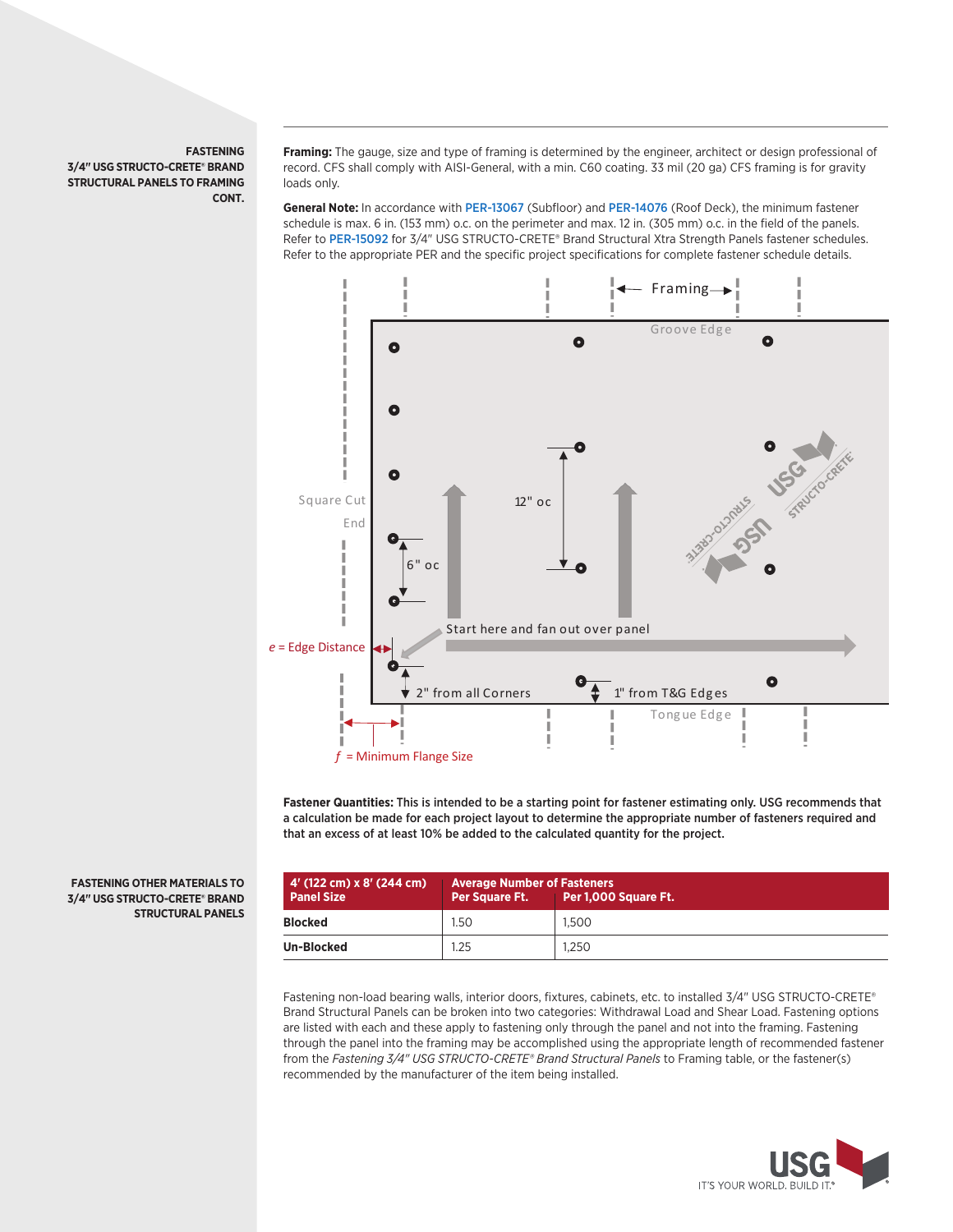## **FASTENING 3/4" USG STRUCTO-CRETE® BRAND STRUCTURAL PANELS TO FRAMING CONT.**

**Framing:** The gauge, size and type of framing is determined by the engineer, architect or design professional of record. CFS shall comply with AISI-General, with a min. C60 coating. 33 mil (20 ga) CFS framing is for gravity loads only.

**General Note:** In accordance with PER-13067 (Subfloor) and PER-14076 (Roof Deck), the minimum fastener schedule is max. 6 in. (153 mm) o.c. on the perimeter and max. 12 in. (305 mm) o.c. in the field of the panels. Refer to PER-15092 for 3/4" USG STRUCTO-CRETE® Brand Structural Xtra Strength Panels fastener schedules. Refer to the appropriate PER and the specific project specifications for complete fastener schedule details.



**Fastener Quantities:** This is intended to be a starting point for fastener estimating only. USG recommends that a calculation be made for each project layout to determine the appropriate number of fasteners required and that an excess of at least 10% be added to the calculated quantity for the project.

| 4' (122 cm) x 8' (244 cm)<br><b>Panel Size</b> | <b>Average Number of Fasteners</b><br>Per Square Ft. | Per 1,000 Square Ft. |
|------------------------------------------------|------------------------------------------------------|----------------------|
| <b>Blocked</b>                                 | 1.50                                                 | 1.500                |
| <b>Un-Blocked</b>                              | 1.25                                                 | 1.250                |

Fastening non-load bearing walls, interior doors, fixtures, cabinets, etc. to installed 3/4" USG STRUCTO-CRETE® Brand Structural Panels can be broken into two categories: Withdrawal Load and Shear Load. Fastening options are listed with each and these apply to fastening only through the panel and not into the framing. Fastening through the panel into the framing may be accomplished using the appropriate length of recommended fastener from the Fastening 3/4" USG STRUCTO-CRETE® Brand Structural Panels to Framing table, or the fastener(s) recommended by the manufacturer of the item being installed.